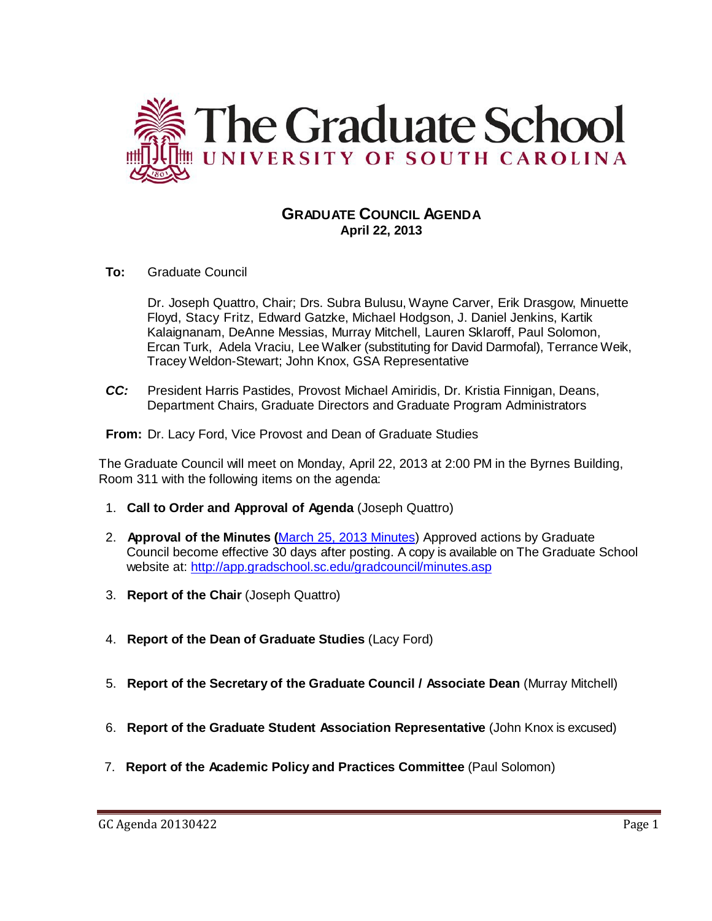

# **GRADUATE COUNCIL AGENDA April 22, 2013**

**To:** Graduate Council

Dr. Joseph Quattro, Chair; Drs. Subra Bulusu, Wayne Carver, Erik Drasgow, Minuette Floyd, Stacy Fritz, Edward Gatzke, Michael Hodgson, J. Daniel Jenkins, Kartik Kalaignanam, DeAnne Messias, Murray Mitchell, Lauren Sklaroff, Paul Solomon, Ercan Turk, Adela Vraciu, Lee Walker (substituting for David Darmofal), Terrance Weik, Tracey Weldon-Stewart; John Knox, GSA Representative

*CC:* President Harris Pastides, Provost Michael Amiridis, Dr. Kristia Finnigan, Deans, Department Chairs, Graduate Directors and Graduate Program Administrators

**From:** Dr. Lacy Ford, Vice Provost and Dean of Graduate Studies

The Graduate Council will meet on Monday, April 22, 2013 at 2:00 PM in the Byrnes Building, Room 311 with the following items on the agenda:

- 1. **Call to Order and Approval of Agenda** (Joseph Quattro)
- 2. **Approval of the Minutes (**[March 25, 2013](http://gradschool.sc.edu/facstaff/gradcouncil/2012/Graduate%20Council%20Minutes%20March%2025,%202013.pdf) Minutes) Approved actions by Graduate Council become effective 30 days after posting. A copy is available on The Graduate School website at:<http://app.gradschool.sc.edu/gradcouncil/minutes.asp>
- 3. **Report of the Chair** (Joseph Quattro)
- 4. **Report of the Dean of Graduate Studies** (Lacy Ford)
- 5. **Report of the Secretary of the Graduate Council / Associate Dean** (Murray Mitchell)
- 6. **Report of the Graduate Student Association Representative** (John Knox is excused)
- 7. **Report of the Academic Policy and Practices Committee** (Paul Solomon)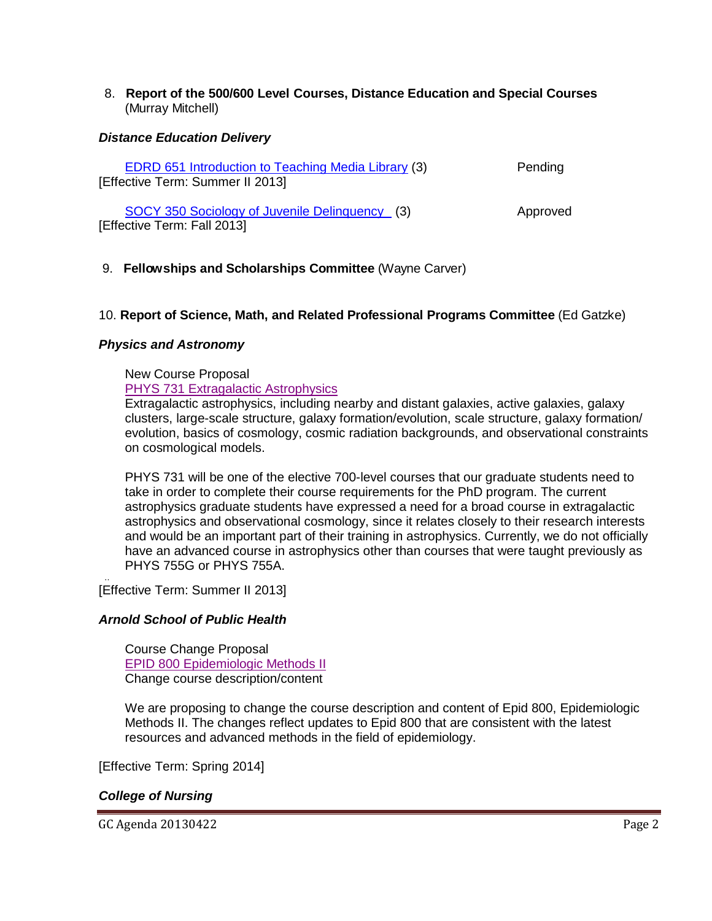8. **Report of the 500/600 Level Courses, Distance Education and Special Courses** (Murray Mitchell)

### *Distance Education Delivery*

| <b>EDRD 651 Introduction to Teaching Media Library (3)</b><br>[Effective Term: Summer II 2013] | Pending  |
|------------------------------------------------------------------------------------------------|----------|
| SOCY 350 Sociology of Juvenile Delinquency (3)<br>[Effective Term: Fall 2013]                  | Approved |

# 9. **Fellowships and Scholarships Committee** (Wayne Carver)

# 10. **Report of Science, Math, and Related Professional Programs Committee** (Ed Gatzke)

#### *Physics and Astronomy*

New Course Proposal [PHYS 731 Extragalactic Astrophysics](http://gradschool.sc.edu/facstaff/gradcouncil/2012/PHYS%20731%20Extragalactic%20Astrophysics%20NCP_Redacted.pdf)

Extragalactic astrophysics, including nearby and distant galaxies, active galaxies, galaxy clusters, large-scale structure, galaxy formation/evolution, scale structure, galaxy formation/ evolution, basics of cosmology, cosmic radiation backgrounds, and observational constraints on cosmological models.

PHYS 731 will be one of the elective 700-level courses that our graduate students need to take in order to complete their course requirements for the PhD program. The current astrophysics graduate students have expressed a need for a broad course in extragalactic astrophysics and observational cosmology, since it relates closely to their research interests and would be an important part of their training in astrophysics. Currently, we do not officially have an advanced course in astrophysics other than courses that were taught previously as PHYS 755G or PHYS 755A.

.. [Effective Term: Summer II 2013]

#### *Arnold School of Public Health*

Course Change Proposal [EPID 800 Epidemiologic Methods II](http://gradschool.sc.edu/facstaff/gradcouncil/2012/EPID%20800%20Epidemiologic%20Methods%20II%20CCP%20BCH%20u_Redacted.pdf) Change course description/content

We are proposing to change the course description and content of Epid 800, Epidemiologic Methods II. The changes reflect updates to Epid 800 that are consistent with the latest resources and advanced methods in the field of epidemiology.

[Effective Term: Spring 2014]

#### *College of Nursing*

GC Agenda 20130422 Page 2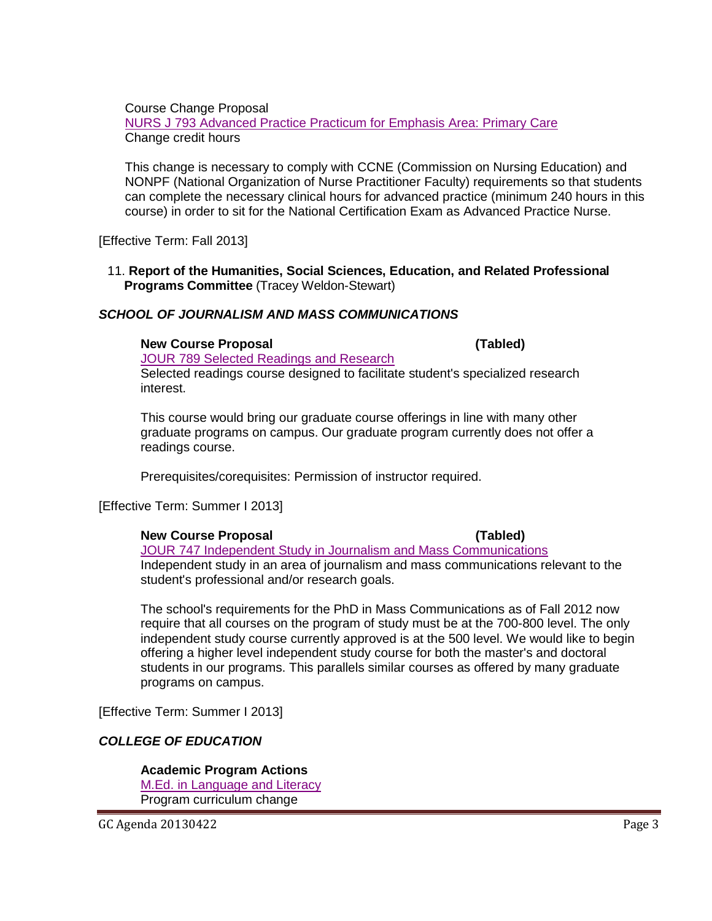Course Change Proposal [NURS J 793 Advanced Practice Practicum for Emphasis Area: Primary Care](http://gradschool.sc.edu/facstaff/gradcouncil/2012/NURS%20J%20793%20Advanced%20Practice%20Practicum%20for%20Emphasis%20Area%20Primary%20Care%20CCP%20updated_Redacted.pdf) Change credit hours

This change is necessary to comply with CCNE (Commission on Nursing Education) and NONPF (National Organization of Nurse Practitioner Faculty) requirements so that students can complete the necessary clinical hours for advanced practice (minimum 240 hours in this course) in order to sit for the National Certification Exam as Advanced Practice Nurse.

[Effective Term: Fall 2013]

11. **Report of the Humanities, Social Sciences, Education, and Related Professional Programs Committee** (Tracey Weldon-Stewart)

#### *SCHOOL OF JOURNALISM AND MASS COMMUNICATIONS*

#### **New Course Proposal (Tabled)**

[JOUR 789 Selected Readings and Research](http://gradschool.sc.edu/facstaff/gradcouncil/2012/JOUR%20789%20Selected%20Readings%20and%20Research%20NCP_Redacted.pdf) Selected readings course designed to facilitate student's specialized research interest.

This course would bring our graduate course offerings in line with many other graduate programs on campus. Our graduate program currently does not offer a readings course.

Prerequisites/corequisites: Permission of instructor required.

[Effective Term: Summer I 2013]

#### **New Course Proposal (Tabled)**

[JOUR 747 Independent Study in Journalism and Mass Communications](http://gradschool.sc.edu/facstaff/gradcouncil/2012/JOUR%20747%20Independent%20Study%20in%20Journalism%20and%20Mass%20Communications%20NCP_Redacted.pdf) Independent study in an area of journalism and mass communications relevant to the student's professional and/or research goals.

The school's requirements for the PhD in Mass Communications as of Fall 2012 now require that all courses on the program of study must be at the 700-800 level. The only independent study course currently approved is at the 500 level. We would like to begin offering a higher level independent study course for both the master's and doctoral students in our programs. This parallels similar courses as offered by many graduate programs on campus.

[Effective Term: Summer I 2013]

#### *COLLEGE OF EDUCATION*

# **Academic Program Actions**

[M.Ed. in Language and Literacy](http://gradschool.sc.edu/facstaff/gradcouncil/2012/M.Ed.%20in%20Language%20and%20Literacy%20APA%20BCH.pdf) Program curriculum change

GC Agenda 20130422 Page 3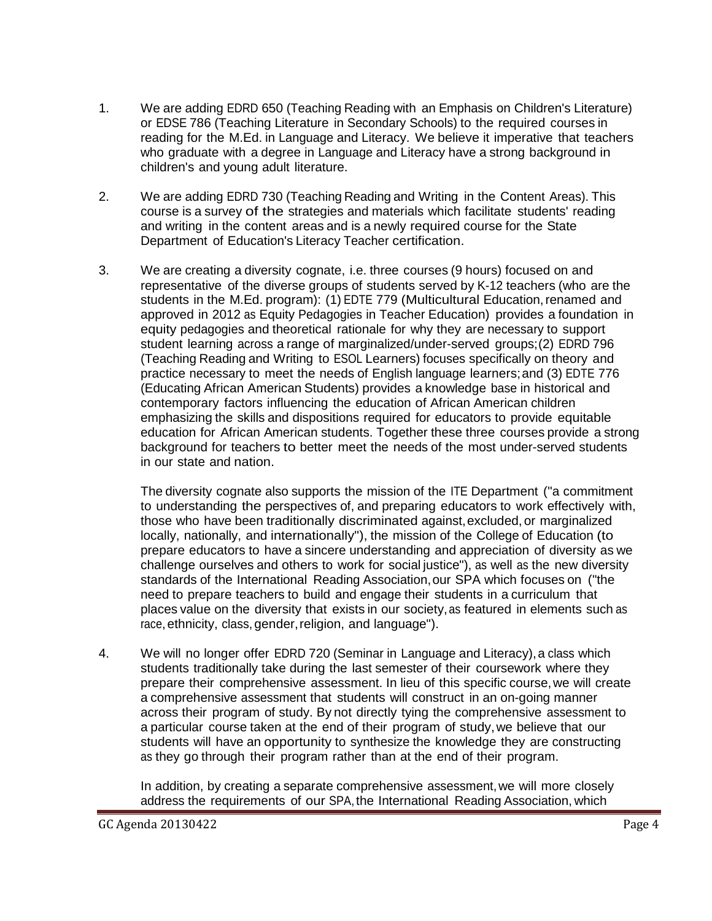- 1. We are adding EDRD 650 (Teaching Reading with an Emphasis on Children's Literature) or EDSE 786 (Teaching Literature in Secondary Schools) to the required courses in reading for the M.Ed. in Language and Literacy. We believe it imperative that teachers who graduate with a degree in Language and Literacy have a strong background in children's and young adult literature.
- 2. We are adding EDRD 730 (Teaching Reading and Writing in the Content Areas). This course is a survey of the strategies and materials which facilitate students' reading and writing in the content areas and is a newly required course for the State Department of Education's Literacy Teacher certification.
- 3. We are creating a diversity cognate, i.e. three courses (9 hours) focused on and representative of the diverse groups of students served by K-12 teachers (who are the students in the M.Ed. program): (1) EDTE 779 (Multicultural Education,renamed and approved in 2012 as Equity Pedagogies in Teacher Education) provides a foundation in equity pedagogies and theoretical rationale for why they are necessary to support student learning across a range of marginalized/under-served groups;(2) EDRD 796 (Teaching Reading and Writing to ESOL Learners) focuses specifically on theory and practice necessary to meet the needs of English language learners;and (3) EDTE 776 (Educating African American Students) provides a knowledge base in historical and contemporary factors influencing the education of African American children emphasizing the skills and dispositions required for educators to provide equitable education for African American students. Together these three courses provide a strong background for teachers to better meet the needs of the most under-served students in our state and nation.

The diversity cognate also supports the mission of the ITE Department ("a commitment to understanding the perspectives of, and preparing educators to work effectively with, those who have been traditionally discriminated against,excluded, or marginalized locally, nationally, and internationally"), the mission of the College of Education (to prepare educators to have a sincere understanding and appreciation of diversity as we challenge ourselves and others to work for social justice"), as well as the new diversity standards of the International Reading Association,our SPA which focuses on ("the need to prepare teachers to build and engage their students in a curriculum that places value on the diversity that exists in our society,as featured in elements such as race, ethnicity, class, gender, religion, and language").

4. We will no longer offer EDRD 720 (Seminar in Language and Literacy),a class which students traditionally take during the last semester of their coursework where they prepare their comprehensive assessment. In lieu of this specific course,we will create a comprehensive assessment that students will construct in an on-going manner across their program of study. By not directly tying the comprehensive assessment to a particular course taken at the end of their program of study,we believe that our students will have an opportunity to synthesize the knowledge they are constructing as they go through their program rather than at the end of their program.

In addition, by creating a separate comprehensive assessment, we will more closely address the requirements of our SPA, the International Reading Association, which